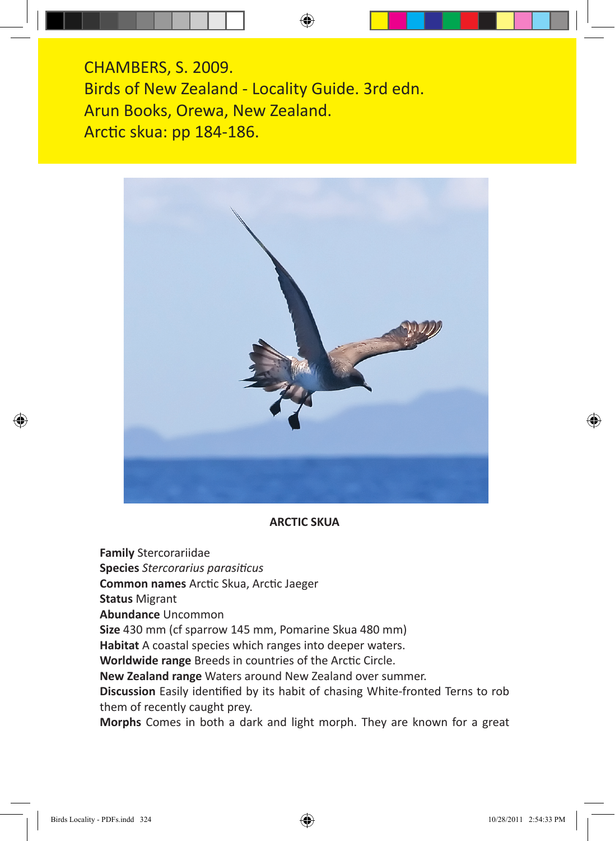CHAMBERS, S. 2009. Birds of New Zealand - Locality Guide. 3rd edn. Arun Books, Orewa, New Zealand. Arctic skua: pp 184-186.



#### **ARCTIC SKUA**

**Family** Stercorariidae

**Species** *Stercorarius parasiticus*

**Common names** Arctic Skua, Arctic Jaeger

**Status** Migrant

**Abundance** Uncommon

**Size** 430 mm (cf sparrow 145 mm, Pomarine Skua 480 mm)

**Habitat** A coastal species which ranges into deeper waters.

**Worldwide range** Breeds in countries of the Arctic Circle.

**New Zealand range** Waters around New Zealand over summer.

**Discussion** Easily identified by its habit of chasing White-fronted Terns to rob them of recently caught prey.

**Morphs** Comes in both a dark and light morph. They are known for a great